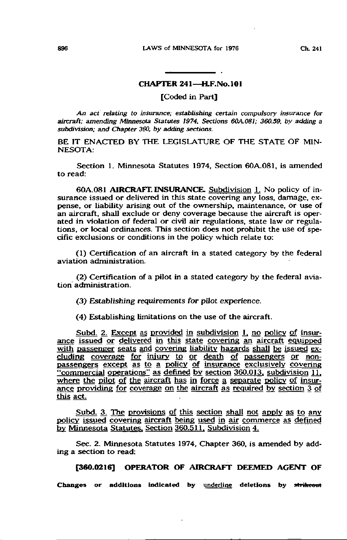## CHAPTER 241—H.F.No.101

[Coded in Part]

An act relating to insurance; establishing certain compulsory insurance for aircraft; amending Minnesota Statutes 1974, Sections 60A.Q81; 360.59. by adding a subdivision; and Chapter 360, by adding sections.

BE IT ENACTED BY THE LEGISLATURE OF THE STATE OF MIN-NESOTA:

Section 1. Minnesota Statutes 1974, Section 60A.081, is amended to read:

60A.081 AIRCRAFT, INSURANCE. Subdivision 1. No policy of insurance issued or delivered in this state covering any loss, damage, expense, or liability arising out of the ownership, maintenance, or use of an aircraft, shall exclude or deny coverage because the aircraft is operated in violation of federal or civil air regulations, state law or regulations, or local ordinances. This section does not prohibit the use of specific exclusions or conditions in the policy which relate to:

(1) Certification of an aircraft in a stated category by the federal aviation administration,

(2) Certification of a pilot in a stated category by the federal aviation administration,

(3) Establishing requirements for pilot experience.

(4) Establishing limitations on the use of the aircraft.

Subd. 2. Except as provided in subdivision 1, no policy of insurance issued or delivered in this state covering an aircraft equipped with passenger seats and covering liability hazards shall be issued excluding coverage for injury to or death of passengers or nonpassengers except as to a policy of insurance exclusively covering "commercial operations" as defined by section 360.013. subdivision 11. where the pilot of the aircraft has in force a separate policy of insurance providing for coverage on the aircraft as required by section 3 of this act,

Subd. 3. The provisions of this section shall not apply as to any policy issued covering aircraft being used in air commerce as defined by Minnesota Statutes, Section 360.511. Subdivision 4.

Sec. 2. Minnesota Statutes 1974, Chapter 360, is amended by adding a section to read:

[360.0216] OPERATOR OF AIRCRAFT DEEMED AGENT OF

Changes or additions indicated by underline deletions by strikeout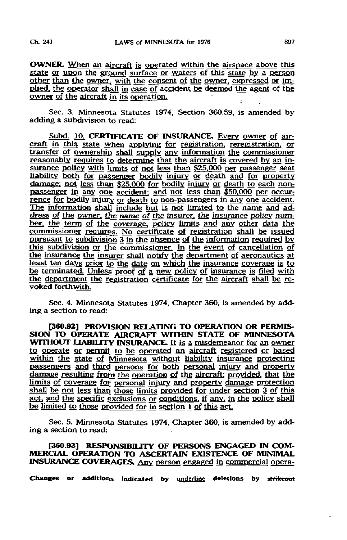OWNER. When an aircraft is operated within the airspace above this state or upon the ground surface or waters of this state by a person other than the owner, with the consent of the owner, expressed or implied, the operator shall in case of accident be deemed the agent of the owner of the aircraft in its operation.

Sec. 3. Minnesota Statutes 1974, Section 360.59, is amended by adding a subdivision to read:

Subd. 10. CERTIFICATE OF INSURANCE. Every owner of aircraft in this state when applying for registration, reregistration. or transfer of ownership shall supply any information the commissioner reasonably requires to determine that the aircraft is covered by an insurance policy with limits of not less than \$25.000 per passenger seat liability both for passenger bodily injury or death and for property damage; not less than \$25.000 for bodily injury or death to each nonpassenger in any one accident: and not less than \$50.000 per occurrence for bodily injury or death to non-passengers in any one accident. The information shall include but is not limited to the name and address of the owner, the name of the insurer, the insurance policy number, the term of the coverage, policy limits and any other data the commissioner requires. No certificate of registration shall be issued pursuant to subdivision 3 in the absence of the information required by this subdivision or the commissioner. In the event of cancellation of the insurance the insurer shall notify the department of aeronautics at least ten days prior to the date on which the insurance coverage is to be terminated. Unless proof of a new policy of insurance is filed with the department the registration certificate for the aircraft shall be revoked forthwith.

Sec. 4. Minnesota Statutes 1974, Chapter 360, is amended by adding a section to read:

[360.92] PROVISION RELATING TO OPERATION OR PERMIS-SION TO OPERATE AIRCRAFT WITHIN STATE OF MINNESOTA WITHOUT LIABILITY INSURANCE. It is a misdemeanor for an owner to operate or permit to be operated an aircraft registered or based within the state of Minnesota without liability insurance protecting passengers and third persons for both personal injury and property damage resulting from the operation of the aircraft; provided, that the limits of coverage for personal injury and property damage protection shall be not less than those limits provided for under section 3 of this act, and the specific exclusions or conditions, if any, in the policy shall be limited to those provided for in section 1 of this act.

Sec. 5. Minnesota Statutes 1974, Chapter 360, is amended by adding a section to read:

[360.93] RESPONSIBILITY OF PERSONS ENGAGED IN COM-MERCIAL OPERATION TO ASCERTAIN EXISTENCE OF MINIMAL INSURANCE COVERAGES, Any person engaged in commercial opera-

Changes or additions indicated by underline deletions by strikeout